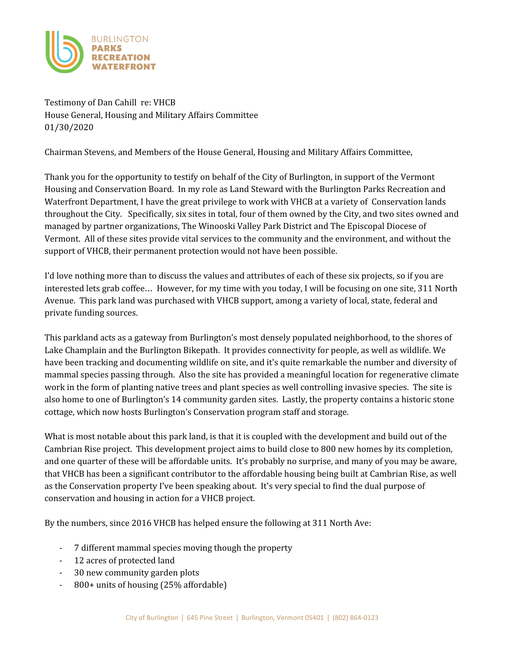

Testimony of Dan Cahill re: VHCB House General, Housing and Military Affairs Committee 01/30/2020

Chairman Stevens, and Members of the House General, Housing and Military Affairs Committee,

Thank you for the opportunity to testify on behalf of the City of Burlington, in support of the Vermont Housing and Conservation Board. In my role as Land Steward with the Burlington Parks Recreation and Waterfront Department, I have the great privilege to work with VHCB at a variety of Conservation lands throughout the City. Specifically, six sites in total, four of them owned by the City, and two sites owned and managed by partner organizations, The Winooski Valley Park District and The Episcopal Diocese of Vermont. All of these sites provide vital services to the community and the environment, and without the support of VHCB, their permanent protection would not have been possible.

I'd love nothing more than to discuss the values and attributes of each of these six projects, so if you are interested lets grab coffee… However, for my time with you today, I will be focusing on one site, 311 North Avenue. This park land was purchased with VHCB support, among a variety of local, state, federal and private funding sources.

This parkland acts as a gateway from Burlington's most densely populated neighborhood, to the shores of Lake Champlain and the Burlington Bikepath. It provides connectivity for people, as well as wildlife. We have been tracking and documenting wildlife on site, and it's quite remarkable the number and diversity of mammal species passing through. Also the site has provided a meaningful location for regenerative climate work in the form of planting native trees and plant species as well controlling invasive species. The site is also home to one of Burlington's 14 community garden sites. Lastly, the property contains a historic stone cottage, which now hosts Burlington's Conservation program staff and storage.

What is most notable about this park land, is that it is coupled with the development and build out of the Cambrian Rise project. This development project aims to build close to 800 new homes by its completion, and one quarter of these will be affordable units. It's probably no surprise, and many of you may be aware, that VHCB has been a significant contributor to the affordable housing being built at Cambrian Rise, as well as the Conservation property I've been speaking about. It's very special to find the dual purpose of conservation and housing in action for a VHCB project.

By the numbers, since 2016 VHCB has helped ensure the following at 311 North Ave:

- 7 different mammal species moving though the property
- 12 acres of protected land
- 30 new community garden plots
- 800+ units of housing (25% affordable)